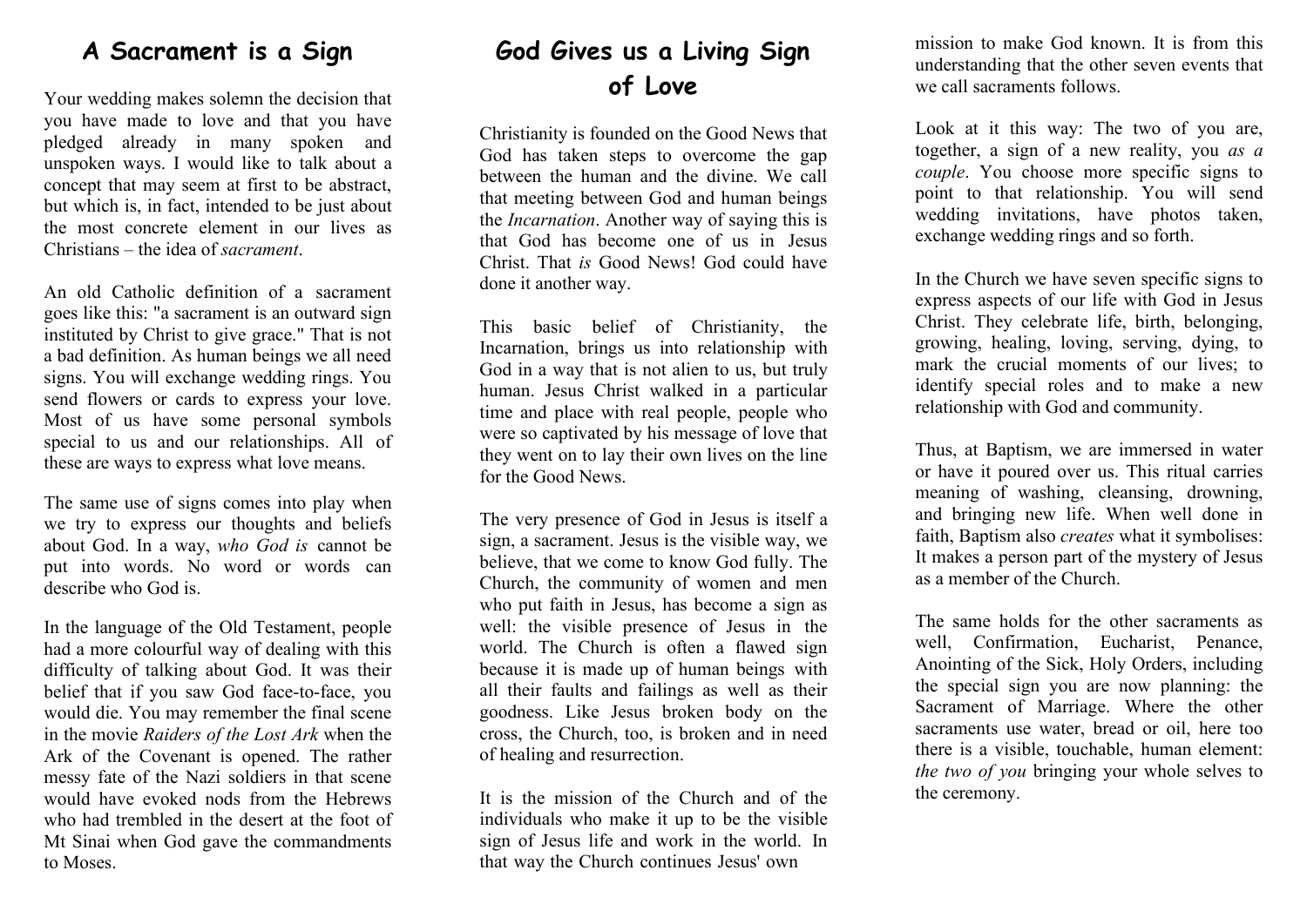#### **A Sacrament is a Sign**

Your wedding makes solemn the decision that you have made to love and that you have pledged already in many spoken and unspoken ways. I would like to talk about a concept that may seem at first to be abstract, but which is, in fact, intended to be just about the most concrete element in our lives as Christians – the idea of *sacrament*.

An old Catholic definition of a sacrament goes like this: "a sacrament is an outward sign instituted by Christ to give grace." That is not a bad definition. As human beings we all need signs. You will exchange wedding rings. You send flowers or cards to express your love. Most of us have some personal symbols special to us and our relationships. All of these are ways to express what love means.

The same use of signs comes into play when we try to express our thoughts and beliefs about God. In a way, *who God is* cannot be put into words. No word or words can describe who God is.

In the language of the Old Testament, people had a more colourful way of dealing with this difficulty of talking about God. It was their belief that if you saw God face-to-face, you would die. You may remember the final scene in the movie *Raiders of the Lost Ark* when the Ark of the Covenant is opened. The rather messy fate of the Nazi soldiers in that scene would have evoked nods from the Hebrews who had trembled in the desert at the foot of Mt Sinai when God gave the commandments to Moses.

## **God Gives us a Living Sign of Love**

Christianity is founded on the Good News that God has taken steps to overcome the gap between the human and the divine. We call that meeting between God and human beings the *Incarnation*. Another way of saying this is that God has become one of us in Jesus Christ. That *is* Good News! God could have done it another way.

This basic belief of Christianity, the Incarnation, brings us into relationship with God in a way that is not alien to us, but truly human. Jesus Christ walked in a particular time and place with real people, people who were so captivated by his message of love that they went on to lay their own lives on the line for the Good News.

The very presence of God in Jesus is itself a sign, a sacrament. Jesus is the visible way, we believe, that we come to know God fully. The Church, the community of women and men who put faith in Jesus, has become a sign as well: the visible presence of Jesus in the world. The Church is often a flawed sign because it is made up of human beings with all their faults and failings as well as their goodness. Like Jesus broken body on the cross, the Church, too, is broken and in need of healing and resurrection.

It is the mission of the Church and of the individuals who make it up to be the visible sign of Jesus life and work in the world. In that way the Church continues Jesus' own

mission to make God known. It is from this understanding that the other seven events that we call sacraments follows.

Look at it this way: The two of you are, together, a sign of a new reality, you *as a couple*. You choose more specific signs to point to that relationship. You will send wedding invitations, have photos taken, exchange wedding rings and so forth.

In the Church we have seven specific signs to express aspects of our life with God in Jesus Christ. They celebrate life, birth, belonging, growing, healing, loving, serving, dying, to mark the crucial moments of our lives; to identify special roles and to make a new relationship with God and community.

Thus, at Baptism, we are immersed in water or have it poured over us. This ritual carries meaning of washing, cleansing, drowning, and bringing new life. When well done in faith, Baptism also *creates* what it symbolises: It makes a person part of the mystery of Jesus as a member of the Church.

The same holds for the other sacraments as well, Confirmation, Eucharist, Penance, Anointing of the Sick, Holy Orders, including the special sign you are now planning: the Sacrament of Marriage. Where the other sacraments use water, bread or oil, here too there is a visible, touchable, human element: *the two of you* bringing your whole selves to the ceremony.